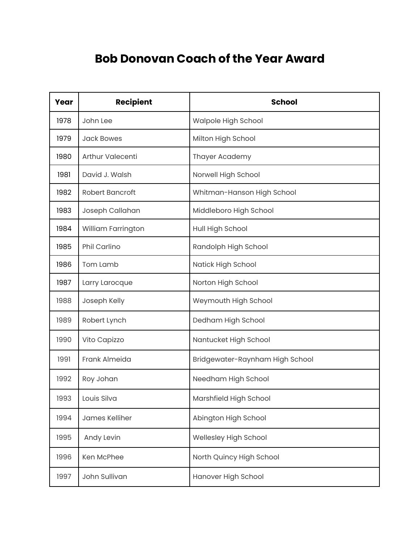## **Bob Donovan Coach of the Year Award**

| Year | <b>Recipient</b>       | <b>School</b>                   |
|------|------------------------|---------------------------------|
| 1978 | John Lee               | Walpole High School             |
| 1979 | <b>Jack Bowes</b>      | Milton High School              |
| 1980 | Arthur Valecenti       | Thayer Academy                  |
| 1981 | David J. Walsh         | Norwell High School             |
| 1982 | <b>Robert Bancroft</b> | Whitman-Hanson High School      |
| 1983 | Joseph Callahan        | Middleboro High School          |
| 1984 | William Farrington     | Hull High School                |
| 1985 | Phil Carlino           | Randolph High School            |
| 1986 | Tom Lamb               | Natick High School              |
| 1987 | Larry Larocque         | Norton High School              |
| 1988 | Joseph Kelly           | Weymouth High School            |
| 1989 | Robert Lynch           | Dedham High School              |
| 1990 | Vito Capizzo           | Nantucket High School           |
| 1991 | Frank Almeida          | Bridgewater-Raynham High School |
| 1992 | Roy Johan              | Needham High School             |
| 1993 | Louis Silva            | Marshfield High School          |
| 1994 | James Kelliher         | Abington High School            |
| 1995 | Andy Levin             | Wellesley High School           |
| 1996 | Ken McPhee             | North Quincy High School        |
| 1997 | John Sullivan          | Hanover High School             |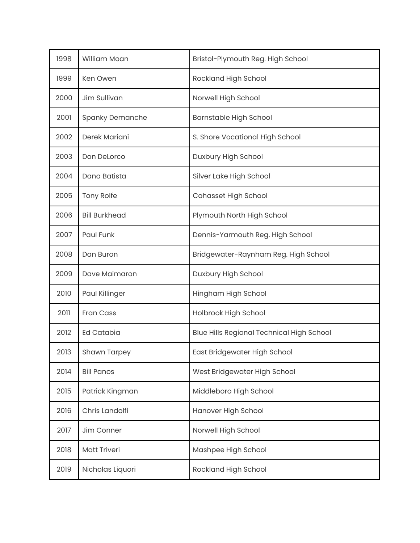| 1998 | William Moan           | Bristol-Plymouth Reg. High School                |
|------|------------------------|--------------------------------------------------|
| 1999 | Ken Owen               | Rockland High School                             |
| 2000 | Jim Sullivan           | Norwell High School                              |
| 2001 | <b>Spanky Demanche</b> | <b>Barnstable High School</b>                    |
| 2002 | Derek Mariani          | S. Shore Vocational High School                  |
| 2003 | Don DeLorco            | Duxbury High School                              |
| 2004 | Dana Batista           | Silver Lake High School                          |
| 2005 | <b>Tony Rolfe</b>      | <b>Cohasset High School</b>                      |
| 2006 | <b>Bill Burkhead</b>   | Plymouth North High School                       |
| 2007 | Paul Funk              | Dennis-Yarmouth Reg. High School                 |
| 2008 | Dan Buron              | Bridgewater-Raynham Reg. High School             |
| 2009 | Dave Maimaron          | Duxbury High School                              |
| 2010 | Paul Killinger         | Hingham High School                              |
| 2011 | <b>Fran Cass</b>       | Holbrook High School                             |
| 2012 | <b>Ed Catabia</b>      | <b>Blue Hills Regional Technical High School</b> |
| 2013 | <b>Shawn Tarpey</b>    | East Bridgewater High School                     |
| 2014 | <b>Bill Panos</b>      | West Bridgewater High School                     |
| 2015 | Patrick Kingman        | Middleboro High School                           |
| 2016 | Chris Landolfi         | Hanover High School                              |
| 2017 | Jim Conner             | Norwell High School                              |
| 2018 | <b>Matt Triveri</b>    | Mashpee High School                              |
| 2019 | Nicholas Liquori       | Rockland High School                             |